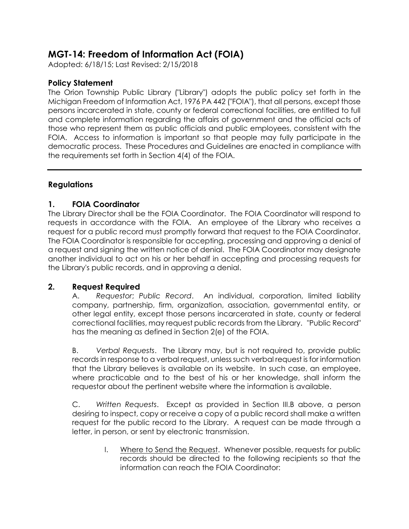# **MGT-14: Freedom of Information Act (FOIA)**

Adopted: 6/18/15; Last Revised: 2/15/2018

# **Policy Statement**

The Orion Township Public Library ("Library") adopts the public policy set forth in the Michigan Freedom of Information Act, 1976 PA 442 ("FOIA"), that all persons, except those persons incarcerated in state, county or federal correctional facilities, are entitled to full and complete information regarding the affairs of government and the official acts of those who represent them as public officials and public employees, consistent with the FOIA. Access to information is important so that people may fully participate in the democratic process. These Procedures and Guidelines are enacted in compliance with the requirements set forth in Section 4(4) of the FOIA.

# **Regulations**

# **1. FOIA Coordinator**

The Library Director shall be the FOIA Coordinator. The FOIA Coordinator will respond to requests in accordance with the FOIA. An employee of the Library who receives a request for a public record must promptly forward that request to the FOIA Coordinator. The FOIA Coordinator is responsible for accepting, processing and approving a denial of a request and signing the written notice of denial. The FOIA Coordinator may designate another individual to act on his or her behalf in accepting and processing requests for the Library's public records, and in approving a denial.

# **2. Request Required**

A. *Requestor*; *Public Record*. An individual, corporation, limited liability company, partnership, firm, organization, association, governmental entity, or other legal entity, except those persons incarcerated in state, county or federal correctional facilities, may request public records from the Library. "Public Record" has the meaning as defined in Section 2(e) of the FOIA.

B. *Verbal Requests*. The Library may, but is not required to, provide public records in response to a verbal request, unless such verbal request is for information that the Library believes is available on its website. In such case, an employee, where practicable and to the best of his or her knowledge, shall inform the requestor about the pertinent website where the information is available.

C. *Written Requests*. Except as provided in Section III.B above, a person desiring to inspect, copy or receive a copy of a public record shall make a written request for the public record to the Library. A request can be made through a letter, in person, or sent by electronic transmission.

> I. Where to Send the Request. Whenever possible, requests for public records should be directed to the following recipients so that the information can reach the FOIA Coordinator: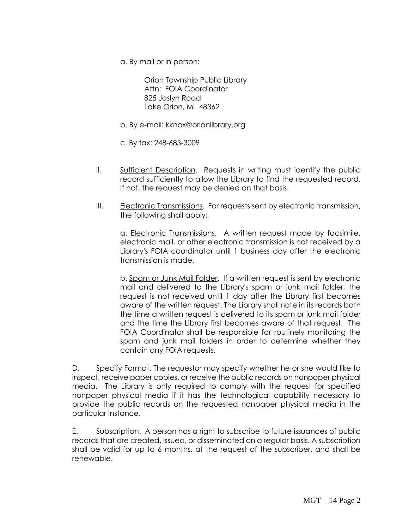a. By mail or in person:

Orion Township Public Library Attn: FOIA Coordinator 825 Joslyn Road Lake Orion, MI 48362

- b. By e-mail: kknox@orionlibrary.org
- c. By fax: 248-683-3009
- II. Sufficient Description. Requests in writing must identify the public record sufficiently to allow the Library to find the requested record. If not, the request may be denied on that basis.
- III. Electronic Transmissions. For requests sent by electronic transmission, the following shall apply:

a. Electronic Transmissions. A written request made by facsimile, electronic mail, or other electronic transmission is not received by a Library's FOIA coordinator until 1 business day after the electronic transmission is made.

b. Spam or Junk Mail Folder. If a written request is sent by electronic mail and delivered to the Library's spam or junk mail folder, the request is not received until 1 day after the Library first becomes aware of the written request. The Library shall note in its records both the time a written request is delivered to its spam or junk mail folder and the time the Library first becomes aware of that request. The FOIA Coordinator shall be responsible for routinely monitoring the spam and junk mail folders in order to determine whether they contain any FOIA requests.

D. Specify Format. The requestor may specify whether he or she would like to inspect, receive paper copies, or receive the public records on nonpaper physical media. The Library is only required to comply with the request for specified nonpaper physical media if it has the technological capability necessary to provide the public records on the requested nonpaper physical media in the particular instance.

E. Subscription. A person has a right to subscribe to future issuances of public records that are created, issued, or disseminated on a regular basis. A subscription shall be valid for up to 6 months, at the request of the subscriber, and shall be renewable.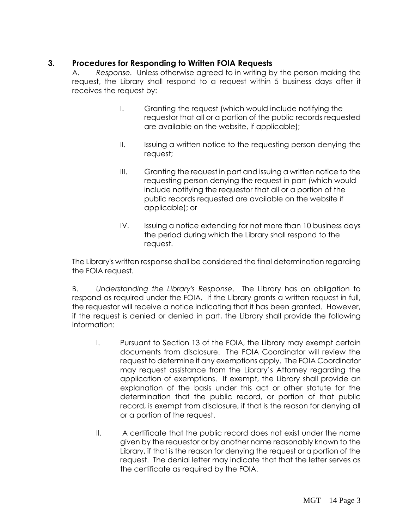# **3. Procedures for Responding to Written FOIA Requests**

A. *Response.* Unless otherwise agreed to in writing by the person making the request, the Library shall respond to a request within 5 business days after it receives the request by:

- I. Granting the request (which would include notifying the requestor that all or a portion of the public records requested are available on the website, if applicable);
- II. Issuing a written notice to the requesting person denying the request;
- III. Granting the request in part and issuing a written notice to the requesting person denying the request in part (which would include notifying the requestor that all or a portion of the public records requested are available on the website if applicable); or
- IV. Issuing a notice extending for not more than 10 business days the period during which the Library shall respond to the request.

The Library's written response shall be considered the final determination regarding the FOIA request.

B. *Understanding the Library's Response*. The Library has an obligation to respond as required under the FOIA. If the Library grants a written request in full, the requestor will receive a notice indicating that it has been granted. However, if the request is denied or denied in part, the Library shall provide the following information:

- I. Pursuant to Section 13 of the FOIA, the Library may exempt certain documents from disclosure. The FOIA Coordinator will review the request to determine if any exemptions apply. The FOIA Coordinator may request assistance from the Library's Attorney regarding the application of exemptions. If exempt, the Library shall provide an explanation of the basis under this act or other statute for the determination that the public record, or portion of that public record, is exempt from disclosure, if that is the reason for denying all or a portion of the request.
- II. A certificate that the public record does not exist under the name given by the requestor or by another name reasonably known to the Library, if that is the reason for denying the request or a portion of the request. The denial letter may indicate that that the letter serves as the certificate as required by the FOIA.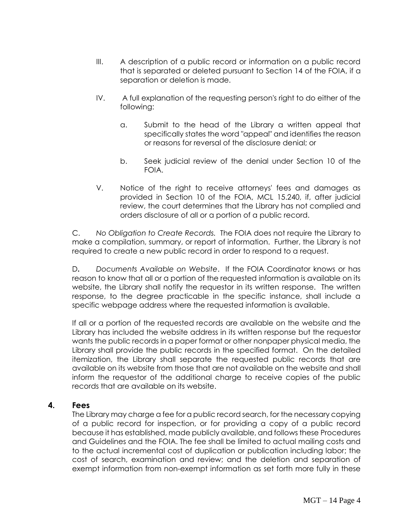- III. A description of a public record or information on a public record that is separated or deleted pursuant to Section 14 of the FOIA, if a separation or deletion is made.
- IV. A full explanation of the requesting person's right to do either of the following:
	- a. Submit to the head of the Library a written appeal that specifically states the word "appeal" and identifies the reason or reasons for reversal of the disclosure denial; or
	- b. Seek judicial review of the denial under Section 10 of the FOIA.
- V. Notice of the right to receive attorneys' fees and damages as provided in Section 10 of the FOIA, MCL 15.240, if, after judicial review, the court determines that the Library has not complied and orders disclosure of all or a portion of a public record.

C. *No Obligation to Create Records.* The FOIA does not require the Library to make a compilation, summary, or report of information. Further, the Library is not required to create a new public record in order to respond to a request.

D**.** *Documents Available on Website*. If the FOIA Coordinator knows or has reason to know that all or a portion of the requested information is available on its website, the Library shall notify the requestor in its written response. The written response, to the degree practicable in the specific instance, shall include a specific webpage address where the requested information is available.

If all or a portion of the requested records are available on the website and the Library has included the website address in its written response but the requestor wants the public records in a paper format or other nonpaper physical media, the Library shall provide the public records in the specified format. On the detailed itemization, the Library shall separate the requested public records that are available on its website from those that are not available on the website and shall inform the requestor of the additional charge to receive copies of the public records that are available on its website.

### **4. Fees**

The Library may charge a fee for a public record search, for the necessary copying of a public record for inspection, or for providing a copy of a public record because it has established, made publicly available, and follows these Procedures and Guidelines and the FOIA. The fee shall be limited to actual mailing costs and to the actual incremental cost of duplication or publication including labor; the cost of search, examination and review; and the deletion and separation of exempt information from non-exempt information as set forth more fully in these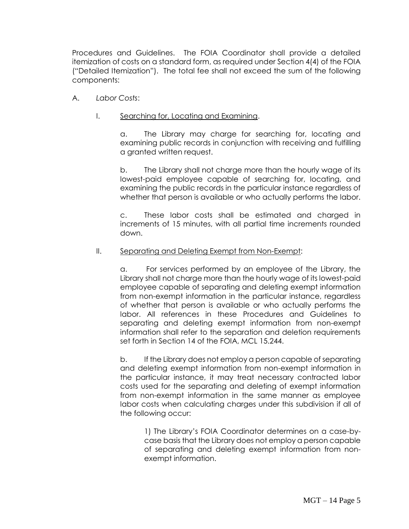Procedures and Guidelines. The FOIA Coordinator shall provide a detailed itemization of costs on a standard form, as required under Section 4(4) of the FOIA ("Detailed Itemization"). The total fee shall not exceed the sum of the following components:

- A. *Labor Costs*:
	- I. Searching for, Locating and Examining.

a. The Library may charge for searching for, locating and examining public records in conjunction with receiving and fulfilling a granted written request.

b. The Library shall not charge more than the hourly wage of its lowest-paid employee capable of searching for, locating, and examining the public records in the particular instance regardless of whether that person is available or who actually performs the labor.

c. These labor costs shall be estimated and charged in increments of 15 minutes, with all partial time increments rounded down.

#### II. Separating and Deleting Exempt from Non-Exempt:

a. For services performed by an employee of the Library, the Library shall not charge more than the hourly wage of its lowest-paid employee capable of separating and deleting exempt information from non-exempt information in the particular instance, regardless of whether that person is available or who actually performs the labor. All references in these Procedures and Guidelines to separating and deleting exempt information from non-exempt information shall refer to the separation and deletion requirements set forth in Section 14 of the FOIA, MCL 15.244.

b. If the Library does not employ a person capable of separating and deleting exempt information from non-exempt information in the particular instance, it may treat necessary contracted labor costs used for the separating and deleting of exempt information from non-exempt information in the same manner as employee labor costs when calculating charges under this subdivision if all of the following occur:

1) The Library's FOIA Coordinator determines on a case-bycase basis that the Library does not employ a person capable of separating and deleting exempt information from nonexempt information.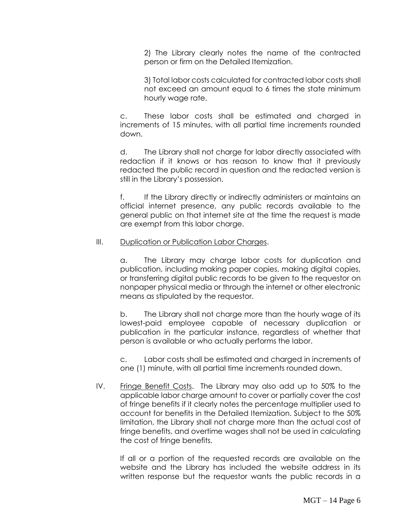2) The Library clearly notes the name of the contracted person or firm on the Detailed Itemization.

3) Total labor costs calculated for contracted labor costs shall not exceed an amount equal to 6 times the state minimum hourly wage rate.

c. These labor costs shall be estimated and charged in increments of 15 minutes, with all partial time increments rounded down.

d. The Library shall not charge for labor directly associated with redaction if it knows or has reason to know that it previously redacted the public record in question and the redacted version is still in the Library's possession.

f. If the Library directly or indirectly administers or maintains an official internet presence, any public records available to the general public on that internet site at the time the request is made are exempt from this labor charge.

#### III. Duplication or Publication Labor Charges.

a. The Library may charge labor costs for duplication and publication, including making paper copies, making digital copies, or transferring digital public records to be given to the requestor on nonpaper physical media or through the internet or other electronic means as stipulated by the requestor.

b. The Library shall not charge more than the hourly wage of its lowest-paid employee capable of necessary duplication or publication in the particular instance, regardless of whether that person is available or who actually performs the labor.

c. Labor costs shall be estimated and charged in increments of one (1) minute, with all partial time increments rounded down.

IV. Fringe Benefit Costs. The Library may also add up to 50% to the applicable labor charge amount to cover or partially cover the cost of fringe benefits if it clearly notes the percentage multiplier used to account for benefits in the Detailed Itemization. Subject to the 50% limitation, the Library shall not charge more than the actual cost of fringe benefits, and overtime wages shall not be used in calculating the cost of fringe benefits.

If all or a portion of the requested records are available on the website and the Library has included the website address in its written response but the requestor wants the public records in a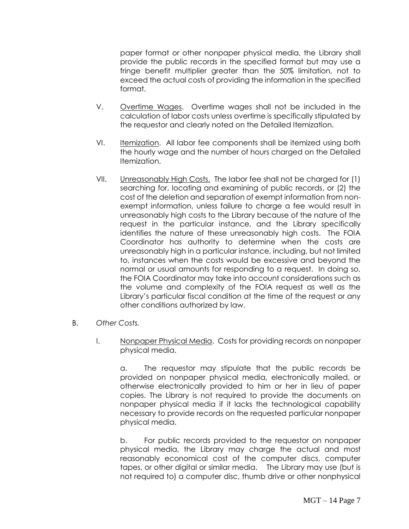paper format or other nonpaper physical media, the Library shall provide the public records in the specified format but may use a fringe benefit multiplier greater than the 50% limitation, not to exceed the actual costs of providing the information in the specified format.

- V. Overtime Wages. Overtime wages shall not be included in the calculation of labor costs unless overtime is specifically stipulated by the requestor and clearly noted on the Detailed Itemization.
- VI. Itemization. All labor fee components shall be itemized using both the hourly wage and the number of hours charged on the Detailed Itemization.
- VII. Unreasonably High Costs. The labor fee shall not be charged for (1) searching for, locating and examining of public records, or (2) the cost of the deletion and separation of exempt information from nonexempt information, unless failure to charge a fee would result in unreasonably high costs to the Library because of the nature of the request in the particular instance, and the Library specifically identifies the nature of these unreasonably high costs. The FOIA Coordinator has authority to determine when the costs are unreasonably high in a particular instance, including, but not limited to, instances when the costs would be excessive and beyond the normal or usual amounts for responding to a request. In doing so, the FOIA Coordinator may take into account considerations such as the volume and complexity of the FOIA request as well as the Library's particular fiscal condition at the time of the request or any other conditions authorized by law.
- B. *Other Costs.*
	- I. Nonpaper Physical Media. Costs for providing records on nonpaper physical media.

a. The requestor may stipulate that the public records be provided on nonpaper physical media, electronically mailed, or otherwise electronically provided to him or her in lieu of paper copies. The Library is not required to provide the documents on nonpaper physical media if it lacks the technological capability necessary to provide records on the requested particular nonpaper physical media.

b. For public records provided to the requestor on nonpaper physical media, the Library may charge the actual and most reasonably economical cost of the computer discs, computer tapes, or other digital or similar media. The Library may use (but is not required to) a computer disc, thumb drive or other nonphysical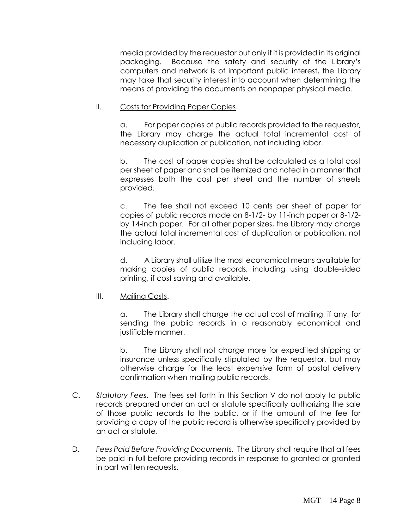media provided by the requestor but only if it is provided in its original packaging. Because the safety and security of the Library's computers and network is of important public interest, the Library may take that security interest into account when determining the means of providing the documents on nonpaper physical media.

#### II. Costs for Providing Paper Copies.

a. For paper copies of public records provided to the requestor, the Library may charge the actual total incremental cost of necessary duplication or publication, not including labor.

b. The cost of paper copies shall be calculated as a total cost per sheet of paper and shall be itemized and noted in a manner that expresses both the cost per sheet and the number of sheets provided.

c. The fee shall not exceed 10 cents per sheet of paper for copies of public records made on 8-1/2- by 11-inch paper or 8-1/2 by 14-inch paper. For all other paper sizes, the Library may charge the actual total incremental cost of duplication or publication, not including labor.

d. A Library shall utilize the most economical means available for making copies of public records, including using double-sided printing, if cost saving and available.

#### III. Mailing Costs.

a. The Library shall charge the actual cost of mailing, if any, for sending the public records in a reasonably economical and justifiable manner.

b. The Library shall not charge more for expedited shipping or insurance unless specifically stipulated by the requestor, but may otherwise charge for the least expensive form of postal delivery confirmation when mailing public records.

- C. *Statutory Fees*. The fees set forth in this Section V do not apply to public records prepared under an act or statute specifically authorizing the sale of those public records to the public, or if the amount of the fee for providing a copy of the public record is otherwise specifically provided by an act or statute.
- D. *Fees Paid Before Providing Documents.* The Library shall require that all fees be paid in full before providing records in response to granted or granted in part written requests.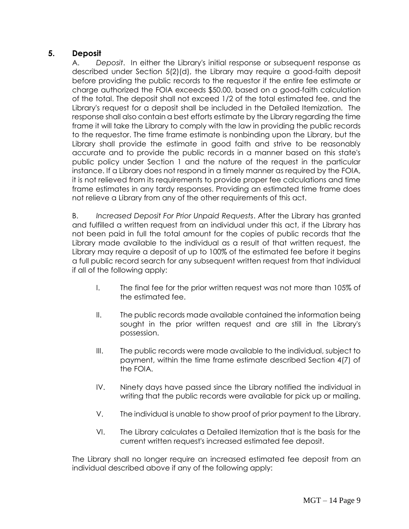# **5. Deposit**

A. *Deposit*. In either the Library's initial response or subsequent response as described under Section 5(2)(d), the Library may require a good-faith deposit before providing the public records to the requestor if the entire fee estimate or charge authorized the FOIA exceeds \$50.00, based on a good-faith calculation of the total. The deposit shall not exceed 1/2 of the total estimated fee, and the Library's request for a deposit shall be included in the Detailed Itemization. The response shall also contain a best efforts estimate by the Library regarding the time frame it will take the Library to comply with the law in providing the public records to the requestor. The time frame estimate is nonbinding upon the Library, but the Library shall provide the estimate in good faith and strive to be reasonably accurate and to provide the public records in a manner based on this state's public policy under Section 1 and the nature of the request in the particular instance. If a Library does not respond in a timely manner as required by the FOIA, it is not relieved from its requirements to provide proper fee calculations and time frame estimates in any tardy responses. Providing an estimated time frame does not relieve a Library from any of the other requirements of this act.

B. *Increased Deposit For Prior Unpaid Requests*. After the Library has granted and fulfilled a written request from an individual under this act, if the Library has not been paid in full the total amount for the copies of public records that the Library made available to the individual as a result of that written request, the Library may require a deposit of up to 100% of the estimated fee before it begins a full public record search for any subsequent written request from that individual if all of the following apply:

- I. The final fee for the prior written request was not more than 105% of the estimated fee.
- II. The public records made available contained the information being sought in the prior written request and are still in the Library's possession.
- III. The public records were made available to the individual, subject to payment, within the time frame estimate described Section 4(7) of the FOIA.
- IV. Ninety days have passed since the Library notified the individual in writing that the public records were available for pick up or mailing.
- V. The individual is unable to show proof of prior payment to the Library.
- VI. The Library calculates a Detailed Itemization that is the basis for the current written request's increased estimated fee deposit.

The Library shall no longer require an increased estimated fee deposit from an individual described above if any of the following apply: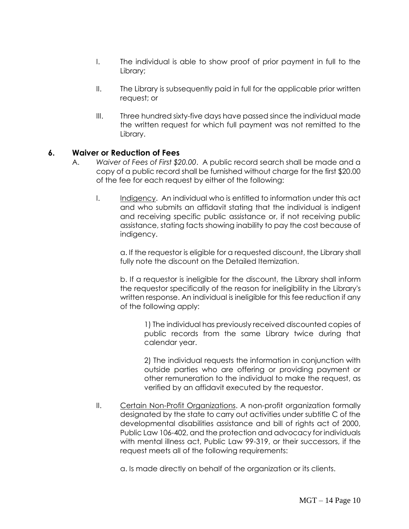- I. The individual is able to show proof of prior payment in full to the Library;
- II. The Library is subsequently paid in full for the applicable prior written request; or
- III. Three hundred sixty-five days have passed since the individual made the written request for which full payment was not remitted to the Library.

### **6. Waiver or Reduction of Fees**

- A. *Waiver of Fees of First \$20.00*. A public record search shall be made and a copy of a public record shall be furnished without charge for the first \$20.00 of the fee for each request by either of the following:
	- I. Indigency. An individual who is entitled to information under this act and who submits an affidavit stating that the individual is indigent and receiving specific public assistance or, if not receiving public assistance, stating facts showing inability to pay the cost because of indigency.

a. If the requestor is eligible for a requested discount, the Library shall fully note the discount on the Detailed Itemization.

b. If a requestor is ineligible for the discount, the Library shall inform the requestor specifically of the reason for ineligibility in the Library's written response. An individual is ineligible for this fee reduction if any of the following apply:

1) The individual has previously received discounted copies of public records from the same Library twice during that calendar year.

2) The individual requests the information in conjunction with outside parties who are offering or providing payment or other remuneration to the individual to make the request, as verified by an affidavit executed by the requestor.

II. Certain Non-Profit Organizations. A non-profit organization formally designated by the state to carry out activities under subtitle C of the developmental disabilities assistance and bill of rights act of 2000, Public Law 106-402, and the protection and advocacy for individuals with mental illness act, Public Law 99-319, or their successors, if the request meets all of the following requirements:

a. Is made directly on behalf of the organization or its clients.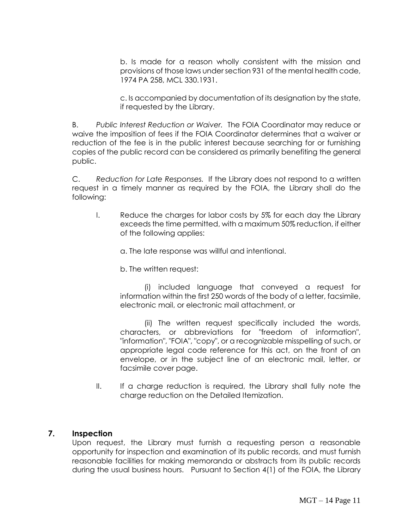b. Is made for a reason wholly consistent with the mission and provisions of those laws under section 931 of the mental health code, 1974 PA 258, MCL 330.1931.

c. Is accompanied by documentation of its designation by the state, if requested by the Library.

B. *Public Interest Reduction or Waiver.* The FOIA Coordinator may reduce or waive the imposition of fees if the FOIA Coordinator determines that a waiver or reduction of the fee is in the public interest because searching for or furnishing copies of the public record can be considered as primarily benefiting the general public.

C. *Reduction for Late Responses.* If the Library does not respond to a written request in a timely manner as required by the FOIA, the Library shall do the following:

I. Reduce the charges for labor costs by 5% for each day the Library exceeds the time permitted, with a maximum 50% reduction, if either of the following applies:

a. The late response was willful and intentional.

b. The written request:

(i) included language that conveyed a request for information within the first 250 words of the body of a letter, facsimile, electronic mail, or electronic mail attachment, or

(ii) The written request specifically included the words, characters, or abbreviations for "freedom of information", "information", "FOIA", "copy", or a recognizable misspelling of such, or appropriate legal code reference for this act, on the front of an envelope, or in the subject line of an electronic mail, letter, or facsimile cover page.

II. If a charge reduction is required, the Library shall fully note the charge reduction on the Detailed Itemization.

### **7. Inspection**

Upon request, the Library must furnish a requesting person a reasonable opportunity for inspection and examination of its public records, and must furnish reasonable facilities for making memoranda or abstracts from its public records during the usual business hours. Pursuant to Section 4(1) of the FOIA, the Library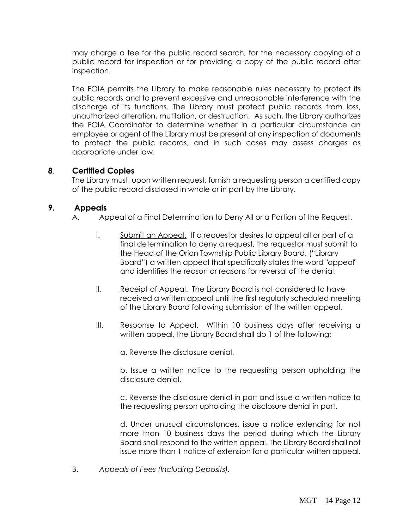may charge a fee for the public record search, for the necessary copying of a public record for inspection or for providing a copy of the public record after inspection.

The FOIA permits the Library to make reasonable rules necessary to protect its public records and to prevent excessive and unreasonable interference with the discharge of its functions. The Library must protect public records from loss, unauthorized alteration, mutilation, or destruction. As such, the Library authorizes the FOIA Coordinator to determine whether in a particular circumstance an employee or agent of the Library must be present at any inspection of documents to protect the public records, and in such cases may assess charges as appropriate under law.

# **8**. **Certified Copies**

The Library must, upon written request, furnish a requesting person a certified copy of the public record disclosed in whole or in part by the Library.

### **9. Appeals**

- A. Appeal of a Final Determination to Deny All or a Portion of the Request.
	- I. Submit an Appeal. If a requestor desires to appeal all or part of a final determination to deny a request, the requestor must submit to the Head of the Orion Township Public Library Board, ("Library Board") a written appeal that specifically states the word "appeal" and identifies the reason or reasons for reversal of the denial.
	- II. Receipt of Appeal. The Library Board is not considered to have received a written appeal until the first regularly scheduled meeting of the Library Board following submission of the written appeal.
	- III. Response to Appeal. Within 10 business days after receiving a written appeal, the Library Board shall do 1 of the following:

a. Reverse the disclosure denial.

b. Issue a written notice to the requesting person upholding the disclosure denial.

c. Reverse the disclosure denial in part and issue a written notice to the requesting person upholding the disclosure denial in part.

d. Under unusual circumstances, issue a notice extending for not more than 10 business days the period during which the Library Board shall respond to the written appeal. The Library Board shall not issue more than 1 notice of extension for a particular written appeal.

B. *Appeals of Fees (Including Deposits).*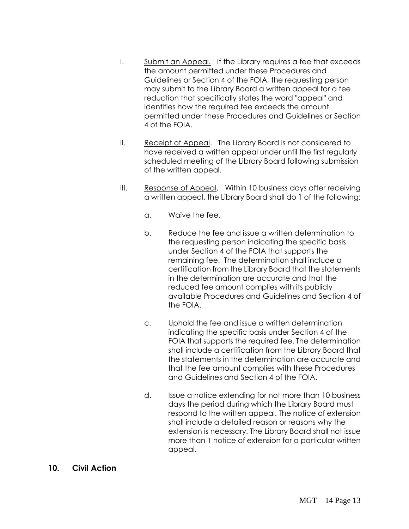- I. Submit an Appeal. If the Library requires a fee that exceeds the amount permitted under these Procedures and Guidelines or Section 4 of the FOIA, the requesting person may submit to the Library Board a written appeal for a fee reduction that specifically states the word "appeal" and identifies how the required fee exceeds the amount permitted under these Procedures and Guidelines or Section 4 of the FOIA.
- II. Receipt of Appeal. The Library Board is not considered to have received a written appeal under until the first regularly scheduled meeting of the Library Board following submission of the written appeal.
- III. Response of Appeal. Within 10 business days after receiving a written appeal, the Library Board shall do 1 of the following:
	- a. Waive the fee.
	- b. Reduce the fee and issue a written determination to the requesting person indicating the specific basis under Section 4 of the FOIA that supports the remaining fee. The determination shall include a certification from the Library Board that the statements in the determination are accurate and that the reduced fee amount complies with its publicly available Procedures and Guidelines and Section 4 of the FOIA.
	- c. Uphold the fee and issue a written determination indicating the specific basis under Section 4 of the FOIA that supports the required fee. The determination shall include a certification from the Library Board that the statements in the determination are accurate and that the fee amount complies with these Procedures and Guidelines and Section 4 of the FOIA.
	- d. Issue a notice extending for not more than 10 business days the period during which the Library Board must respond to the written appeal. The notice of extension shall include a detailed reason or reasons why the extension is necessary. The Library Board shall not issue more than 1 notice of extension for a particular written appeal.
- **10. Civil Action**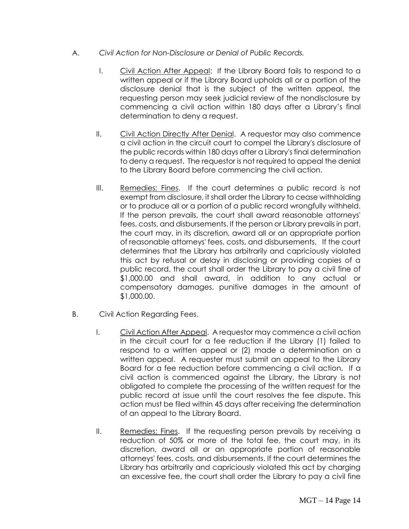- A. *Civil Action for Non-Disclosure or Denial of Public Records.*
	- I. Civil Action After Appeal: If the Library Board fails to respond to a written appeal or if the Library Board upholds all or a portion of the disclosure denial that is the subject of the written appeal, the requesting person may seek judicial review of the nondisclosure by commencing a civil action within 180 days after a Library's final determination to deny a request.
	- II. Civil Action Directly After Denial. A requestor may also commence a civil action in the circuit court to compel the Library's disclosure of the public records within 180 days after a Library's final determination to deny a request. The requestor is not required to appeal the denial to the Library Board before commencing the civil action.
	- III. Remedies; Fines. If the court determines a public record is not exempt from disclosure, it shall order the Library to cease withholding or to produce all or a portion of a public record wrongfully withheld. If the person prevails, the court shall award reasonable attorneys' fees, costs, and disbursements. If the person or Library prevails in part, the court may, in its discretion, award all or an appropriate portion of reasonable attorneys' fees, costs, and disbursements. If the court determines that the Library has arbitrarily and capriciously violated this act by refusal or delay in disclosing or providing copies of a public record, the court shall order the Library to pay a civil fine of \$1,000.00 and shall award, in addition to any actual or compensatory damages, punitive damages in the amount of \$1,000.00.
- B. Civil Action Regarding Fees.
	- I. Civil Action After Appeal. A requestor may commence a civil action in the circuit court for a fee reduction if the Library (1) failed to respond to a written appeal or (2) made a determination on a written appeal. A requester must submit an appeal to the Library Board for a fee reduction before commencing a civil action. If a civil action is commenced against the Library, the Library is not obligated to complete the processing of the written request for the public record at issue until the court resolves the fee dispute. This action must be filed within 45 days after receiving the determination of an appeal to the Library Board.
	- II. Remedies; Fines. If the requesting person prevails by receiving a reduction of 50% or more of the total fee, the court may, in its discretion, award all or an appropriate portion of reasonable attorneys' fees, costs, and disbursements. If the court determines the Library has arbitrarily and capriciously violated this act by charging an excessive fee, the court shall order the Library to pay a civil fine